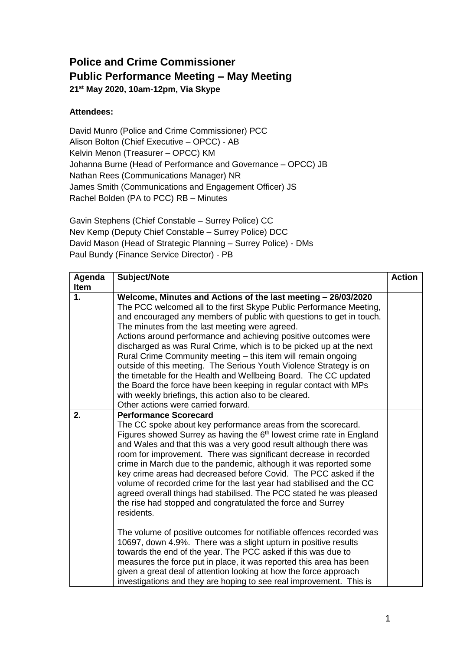## **Police and Crime Commissioner Public Performance Meeting – May Meeting 21 st May 2020, 10am-12pm, Via Skype**

## **Attendees:**

David Munro (Police and Crime Commissioner) PCC Alison Bolton (Chief Executive – OPCC) - AB Kelvin Menon (Treasurer – OPCC) KM Johanna Burne (Head of Performance and Governance – OPCC) JB Nathan Rees (Communications Manager) NR James Smith (Communications and Engagement Officer) JS Rachel Bolden (PA to PCC) RB – Minutes

Gavin Stephens (Chief Constable – Surrey Police) CC Nev Kemp (Deputy Chief Constable – Surrey Police) DCC David Mason (Head of Strategic Planning – Surrey Police) - DMs Paul Bundy (Finance Service Director) - PB

| Agenda      | Subject/Note                                                                                                                                                                                                                                                                                                                                                                                                                                                                                                                                                                                                                                                                                                                                                                              | <b>Action</b> |
|-------------|-------------------------------------------------------------------------------------------------------------------------------------------------------------------------------------------------------------------------------------------------------------------------------------------------------------------------------------------------------------------------------------------------------------------------------------------------------------------------------------------------------------------------------------------------------------------------------------------------------------------------------------------------------------------------------------------------------------------------------------------------------------------------------------------|---------------|
| <b>Item</b> |                                                                                                                                                                                                                                                                                                                                                                                                                                                                                                                                                                                                                                                                                                                                                                                           |               |
| 1.          | Welcome, Minutes and Actions of the last meeting - 26/03/2020<br>The PCC welcomed all to the first Skype Public Performance Meeting,<br>and encouraged any members of public with questions to get in touch.<br>The minutes from the last meeting were agreed.<br>Actions around performance and achieving positive outcomes were<br>discharged as was Rural Crime, which is to be picked up at the next<br>Rural Crime Community meeting - this item will remain ongoing<br>outside of this meeting. The Serious Youth Violence Strategy is on<br>the timetable for the Health and Wellbeing Board. The CC updated<br>the Board the force have been keeping in regular contact with MPs<br>with weekly briefings, this action also to be cleared.<br>Other actions were carried forward. |               |
| 2.          | <b>Performance Scorecard</b><br>The CC spoke about key performance areas from the scorecard.<br>Figures showed Surrey as having the 6 <sup>th</sup> lowest crime rate in England<br>and Wales and that this was a very good result although there was<br>room for improvement. There was significant decrease in recorded<br>crime in March due to the pandemic, although it was reported some<br>key crime areas had decreased before Covid. The PCC asked if the<br>volume of recorded crime for the last year had stabilised and the CC<br>agreed overall things had stabilised. The PCC stated he was pleased<br>the rise had stopped and congratulated the force and Surrey<br>residents.                                                                                            |               |
|             | The volume of positive outcomes for notifiable offences recorded was<br>10697, down 4.9%. There was a slight upturn in positive results<br>towards the end of the year. The PCC asked if this was due to<br>measures the force put in place, it was reported this area has been<br>given a great deal of attention looking at how the force approach<br>investigations and they are hoping to see real improvement. This is                                                                                                                                                                                                                                                                                                                                                               |               |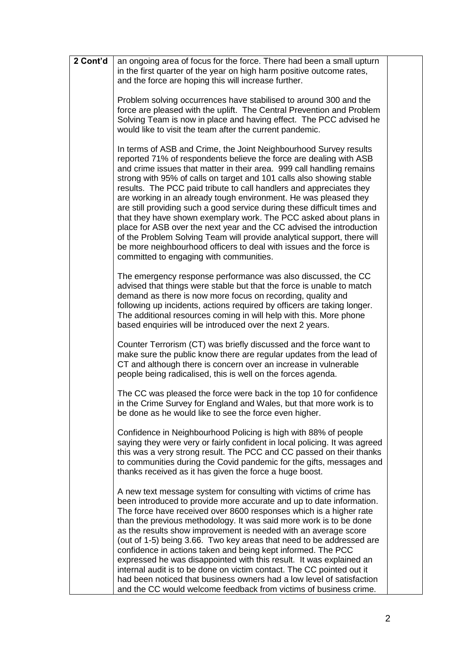| and the force are hoping this will increase further.<br>Problem solving occurrences have stabilised to around 300 and the<br>force are pleased with the uplift. The Central Prevention and Problem<br>Solving Team is now in place and having effect. The PCC advised he<br>would like to visit the team after the current pandemic.<br>In terms of ASB and Crime, the Joint Neighbourhood Survey results<br>reported 71% of respondents believe the force are dealing with ASB<br>and crime issues that matter in their area. 999 call handling remains<br>strong with 95% of calls on target and 101 calls also showing stable<br>results. The PCC paid tribute to call handlers and appreciates they<br>are working in an already tough environment. He was pleased they<br>are still providing such a good service during these difficult times and<br>that they have shown exemplary work. The PCC asked about plans in<br>place for ASB over the next year and the CC advised the introduction<br>of the Problem Solving Team will provide analytical support, there will<br>be more neighbourhood officers to deal with issues and the force is<br>committed to engaging with communities.<br>The emergency response performance was also discussed, the CC<br>advised that things were stable but that the force is unable to match<br>demand as there is now more focus on recording, quality and<br>following up incidents, actions required by officers are taking longer.<br>The additional resources coming in will help with this. More phone<br>based enquiries will be introduced over the next 2 years.<br>Counter Terrorism (CT) was briefly discussed and the force want to<br>make sure the public know there are regular updates from the lead of<br>CT and although there is concern over an increase in vulnerable<br>people being radicalised, this is well on the forces agenda.<br>The CC was pleased the force were back in the top 10 for confidence<br>in the Crime Survey for England and Wales, but that more work is to<br>be done as he would like to see the force even higher.<br>Confidence in Neighbourhood Policing is high with 88% of people<br>saying they were very or fairly confident in local policing. It was agreed<br>this was a very strong result. The PCC and CC passed on their thanks<br>to communities during the Covid pandemic for the gifts, messages and<br>thanks received as it has given the force a huge boost.<br>A new text message system for consulting with victims of crime has<br>been introduced to provide more accurate and up to date information.<br>The force have received over 8600 responses which is a higher rate<br>than the previous methodology. It was said more work is to be done<br>as the results show improvement is needed with an average score<br>(out of 1-5) being 3.66. Two key areas that need to be addressed are<br>confidence in actions taken and being kept informed. The PCC<br>expressed he was disappointed with this result. It was explained an<br>internal audit is to be done on victim contact. The CC pointed out it<br>had been noticed that business owners had a low level of satisfaction<br>and the CC would welcome feedback from victims of business crime. | 2 Cont'd | an ongoing area of focus for the force. There had been a small upturn |  |
|----------------------------------------------------------------------------------------------------------------------------------------------------------------------------------------------------------------------------------------------------------------------------------------------------------------------------------------------------------------------------------------------------------------------------------------------------------------------------------------------------------------------------------------------------------------------------------------------------------------------------------------------------------------------------------------------------------------------------------------------------------------------------------------------------------------------------------------------------------------------------------------------------------------------------------------------------------------------------------------------------------------------------------------------------------------------------------------------------------------------------------------------------------------------------------------------------------------------------------------------------------------------------------------------------------------------------------------------------------------------------------------------------------------------------------------------------------------------------------------------------------------------------------------------------------------------------------------------------------------------------------------------------------------------------------------------------------------------------------------------------------------------------------------------------------------------------------------------------------------------------------------------------------------------------------------------------------------------------------------------------------------------------------------------------------------------------------------------------------------------------------------------------------------------------------------------------------------------------------------------------------------------------------------------------------------------------------------------------------------------------------------------------------------------------------------------------------------------------------------------------------------------------------------------------------------------------------------------------------------------------------------------------------------------------------------------------------------------------------------------------------------------------------------------------------------------------------------------------------------------------------------------------------------------------------------------------------------------------------------------------------------------------------------------------------------------------------------------------------------------------------------------------------------------------------------------------------------------------------------------------------------------------------|----------|-----------------------------------------------------------------------|--|
|                                                                                                                                                                                                                                                                                                                                                                                                                                                                                                                                                                                                                                                                                                                                                                                                                                                                                                                                                                                                                                                                                                                                                                                                                                                                                                                                                                                                                                                                                                                                                                                                                                                                                                                                                                                                                                                                                                                                                                                                                                                                                                                                                                                                                                                                                                                                                                                                                                                                                                                                                                                                                                                                                                                                                                                                                                                                                                                                                                                                                                                                                                                                                                                                                                                                                  |          | in the first quarter of the year on high harm positive outcome rates, |  |
|                                                                                                                                                                                                                                                                                                                                                                                                                                                                                                                                                                                                                                                                                                                                                                                                                                                                                                                                                                                                                                                                                                                                                                                                                                                                                                                                                                                                                                                                                                                                                                                                                                                                                                                                                                                                                                                                                                                                                                                                                                                                                                                                                                                                                                                                                                                                                                                                                                                                                                                                                                                                                                                                                                                                                                                                                                                                                                                                                                                                                                                                                                                                                                                                                                                                                  |          |                                                                       |  |
|                                                                                                                                                                                                                                                                                                                                                                                                                                                                                                                                                                                                                                                                                                                                                                                                                                                                                                                                                                                                                                                                                                                                                                                                                                                                                                                                                                                                                                                                                                                                                                                                                                                                                                                                                                                                                                                                                                                                                                                                                                                                                                                                                                                                                                                                                                                                                                                                                                                                                                                                                                                                                                                                                                                                                                                                                                                                                                                                                                                                                                                                                                                                                                                                                                                                                  |          |                                                                       |  |
|                                                                                                                                                                                                                                                                                                                                                                                                                                                                                                                                                                                                                                                                                                                                                                                                                                                                                                                                                                                                                                                                                                                                                                                                                                                                                                                                                                                                                                                                                                                                                                                                                                                                                                                                                                                                                                                                                                                                                                                                                                                                                                                                                                                                                                                                                                                                                                                                                                                                                                                                                                                                                                                                                                                                                                                                                                                                                                                                                                                                                                                                                                                                                                                                                                                                                  |          |                                                                       |  |
|                                                                                                                                                                                                                                                                                                                                                                                                                                                                                                                                                                                                                                                                                                                                                                                                                                                                                                                                                                                                                                                                                                                                                                                                                                                                                                                                                                                                                                                                                                                                                                                                                                                                                                                                                                                                                                                                                                                                                                                                                                                                                                                                                                                                                                                                                                                                                                                                                                                                                                                                                                                                                                                                                                                                                                                                                                                                                                                                                                                                                                                                                                                                                                                                                                                                                  |          |                                                                       |  |
|                                                                                                                                                                                                                                                                                                                                                                                                                                                                                                                                                                                                                                                                                                                                                                                                                                                                                                                                                                                                                                                                                                                                                                                                                                                                                                                                                                                                                                                                                                                                                                                                                                                                                                                                                                                                                                                                                                                                                                                                                                                                                                                                                                                                                                                                                                                                                                                                                                                                                                                                                                                                                                                                                                                                                                                                                                                                                                                                                                                                                                                                                                                                                                                                                                                                                  |          |                                                                       |  |
|                                                                                                                                                                                                                                                                                                                                                                                                                                                                                                                                                                                                                                                                                                                                                                                                                                                                                                                                                                                                                                                                                                                                                                                                                                                                                                                                                                                                                                                                                                                                                                                                                                                                                                                                                                                                                                                                                                                                                                                                                                                                                                                                                                                                                                                                                                                                                                                                                                                                                                                                                                                                                                                                                                                                                                                                                                                                                                                                                                                                                                                                                                                                                                                                                                                                                  |          |                                                                       |  |
|                                                                                                                                                                                                                                                                                                                                                                                                                                                                                                                                                                                                                                                                                                                                                                                                                                                                                                                                                                                                                                                                                                                                                                                                                                                                                                                                                                                                                                                                                                                                                                                                                                                                                                                                                                                                                                                                                                                                                                                                                                                                                                                                                                                                                                                                                                                                                                                                                                                                                                                                                                                                                                                                                                                                                                                                                                                                                                                                                                                                                                                                                                                                                                                                                                                                                  |          |                                                                       |  |
|                                                                                                                                                                                                                                                                                                                                                                                                                                                                                                                                                                                                                                                                                                                                                                                                                                                                                                                                                                                                                                                                                                                                                                                                                                                                                                                                                                                                                                                                                                                                                                                                                                                                                                                                                                                                                                                                                                                                                                                                                                                                                                                                                                                                                                                                                                                                                                                                                                                                                                                                                                                                                                                                                                                                                                                                                                                                                                                                                                                                                                                                                                                                                                                                                                                                                  |          |                                                                       |  |
|                                                                                                                                                                                                                                                                                                                                                                                                                                                                                                                                                                                                                                                                                                                                                                                                                                                                                                                                                                                                                                                                                                                                                                                                                                                                                                                                                                                                                                                                                                                                                                                                                                                                                                                                                                                                                                                                                                                                                                                                                                                                                                                                                                                                                                                                                                                                                                                                                                                                                                                                                                                                                                                                                                                                                                                                                                                                                                                                                                                                                                                                                                                                                                                                                                                                                  |          |                                                                       |  |
|                                                                                                                                                                                                                                                                                                                                                                                                                                                                                                                                                                                                                                                                                                                                                                                                                                                                                                                                                                                                                                                                                                                                                                                                                                                                                                                                                                                                                                                                                                                                                                                                                                                                                                                                                                                                                                                                                                                                                                                                                                                                                                                                                                                                                                                                                                                                                                                                                                                                                                                                                                                                                                                                                                                                                                                                                                                                                                                                                                                                                                                                                                                                                                                                                                                                                  |          |                                                                       |  |
|                                                                                                                                                                                                                                                                                                                                                                                                                                                                                                                                                                                                                                                                                                                                                                                                                                                                                                                                                                                                                                                                                                                                                                                                                                                                                                                                                                                                                                                                                                                                                                                                                                                                                                                                                                                                                                                                                                                                                                                                                                                                                                                                                                                                                                                                                                                                                                                                                                                                                                                                                                                                                                                                                                                                                                                                                                                                                                                                                                                                                                                                                                                                                                                                                                                                                  |          |                                                                       |  |
|                                                                                                                                                                                                                                                                                                                                                                                                                                                                                                                                                                                                                                                                                                                                                                                                                                                                                                                                                                                                                                                                                                                                                                                                                                                                                                                                                                                                                                                                                                                                                                                                                                                                                                                                                                                                                                                                                                                                                                                                                                                                                                                                                                                                                                                                                                                                                                                                                                                                                                                                                                                                                                                                                                                                                                                                                                                                                                                                                                                                                                                                                                                                                                                                                                                                                  |          |                                                                       |  |
|                                                                                                                                                                                                                                                                                                                                                                                                                                                                                                                                                                                                                                                                                                                                                                                                                                                                                                                                                                                                                                                                                                                                                                                                                                                                                                                                                                                                                                                                                                                                                                                                                                                                                                                                                                                                                                                                                                                                                                                                                                                                                                                                                                                                                                                                                                                                                                                                                                                                                                                                                                                                                                                                                                                                                                                                                                                                                                                                                                                                                                                                                                                                                                                                                                                                                  |          |                                                                       |  |
|                                                                                                                                                                                                                                                                                                                                                                                                                                                                                                                                                                                                                                                                                                                                                                                                                                                                                                                                                                                                                                                                                                                                                                                                                                                                                                                                                                                                                                                                                                                                                                                                                                                                                                                                                                                                                                                                                                                                                                                                                                                                                                                                                                                                                                                                                                                                                                                                                                                                                                                                                                                                                                                                                                                                                                                                                                                                                                                                                                                                                                                                                                                                                                                                                                                                                  |          |                                                                       |  |
|                                                                                                                                                                                                                                                                                                                                                                                                                                                                                                                                                                                                                                                                                                                                                                                                                                                                                                                                                                                                                                                                                                                                                                                                                                                                                                                                                                                                                                                                                                                                                                                                                                                                                                                                                                                                                                                                                                                                                                                                                                                                                                                                                                                                                                                                                                                                                                                                                                                                                                                                                                                                                                                                                                                                                                                                                                                                                                                                                                                                                                                                                                                                                                                                                                                                                  |          |                                                                       |  |
|                                                                                                                                                                                                                                                                                                                                                                                                                                                                                                                                                                                                                                                                                                                                                                                                                                                                                                                                                                                                                                                                                                                                                                                                                                                                                                                                                                                                                                                                                                                                                                                                                                                                                                                                                                                                                                                                                                                                                                                                                                                                                                                                                                                                                                                                                                                                                                                                                                                                                                                                                                                                                                                                                                                                                                                                                                                                                                                                                                                                                                                                                                                                                                                                                                                                                  |          |                                                                       |  |
|                                                                                                                                                                                                                                                                                                                                                                                                                                                                                                                                                                                                                                                                                                                                                                                                                                                                                                                                                                                                                                                                                                                                                                                                                                                                                                                                                                                                                                                                                                                                                                                                                                                                                                                                                                                                                                                                                                                                                                                                                                                                                                                                                                                                                                                                                                                                                                                                                                                                                                                                                                                                                                                                                                                                                                                                                                                                                                                                                                                                                                                                                                                                                                                                                                                                                  |          |                                                                       |  |
|                                                                                                                                                                                                                                                                                                                                                                                                                                                                                                                                                                                                                                                                                                                                                                                                                                                                                                                                                                                                                                                                                                                                                                                                                                                                                                                                                                                                                                                                                                                                                                                                                                                                                                                                                                                                                                                                                                                                                                                                                                                                                                                                                                                                                                                                                                                                                                                                                                                                                                                                                                                                                                                                                                                                                                                                                                                                                                                                                                                                                                                                                                                                                                                                                                                                                  |          |                                                                       |  |
|                                                                                                                                                                                                                                                                                                                                                                                                                                                                                                                                                                                                                                                                                                                                                                                                                                                                                                                                                                                                                                                                                                                                                                                                                                                                                                                                                                                                                                                                                                                                                                                                                                                                                                                                                                                                                                                                                                                                                                                                                                                                                                                                                                                                                                                                                                                                                                                                                                                                                                                                                                                                                                                                                                                                                                                                                                                                                                                                                                                                                                                                                                                                                                                                                                                                                  |          |                                                                       |  |
|                                                                                                                                                                                                                                                                                                                                                                                                                                                                                                                                                                                                                                                                                                                                                                                                                                                                                                                                                                                                                                                                                                                                                                                                                                                                                                                                                                                                                                                                                                                                                                                                                                                                                                                                                                                                                                                                                                                                                                                                                                                                                                                                                                                                                                                                                                                                                                                                                                                                                                                                                                                                                                                                                                                                                                                                                                                                                                                                                                                                                                                                                                                                                                                                                                                                                  |          |                                                                       |  |
|                                                                                                                                                                                                                                                                                                                                                                                                                                                                                                                                                                                                                                                                                                                                                                                                                                                                                                                                                                                                                                                                                                                                                                                                                                                                                                                                                                                                                                                                                                                                                                                                                                                                                                                                                                                                                                                                                                                                                                                                                                                                                                                                                                                                                                                                                                                                                                                                                                                                                                                                                                                                                                                                                                                                                                                                                                                                                                                                                                                                                                                                                                                                                                                                                                                                                  |          |                                                                       |  |
|                                                                                                                                                                                                                                                                                                                                                                                                                                                                                                                                                                                                                                                                                                                                                                                                                                                                                                                                                                                                                                                                                                                                                                                                                                                                                                                                                                                                                                                                                                                                                                                                                                                                                                                                                                                                                                                                                                                                                                                                                                                                                                                                                                                                                                                                                                                                                                                                                                                                                                                                                                                                                                                                                                                                                                                                                                                                                                                                                                                                                                                                                                                                                                                                                                                                                  |          |                                                                       |  |
|                                                                                                                                                                                                                                                                                                                                                                                                                                                                                                                                                                                                                                                                                                                                                                                                                                                                                                                                                                                                                                                                                                                                                                                                                                                                                                                                                                                                                                                                                                                                                                                                                                                                                                                                                                                                                                                                                                                                                                                                                                                                                                                                                                                                                                                                                                                                                                                                                                                                                                                                                                                                                                                                                                                                                                                                                                                                                                                                                                                                                                                                                                                                                                                                                                                                                  |          |                                                                       |  |
|                                                                                                                                                                                                                                                                                                                                                                                                                                                                                                                                                                                                                                                                                                                                                                                                                                                                                                                                                                                                                                                                                                                                                                                                                                                                                                                                                                                                                                                                                                                                                                                                                                                                                                                                                                                                                                                                                                                                                                                                                                                                                                                                                                                                                                                                                                                                                                                                                                                                                                                                                                                                                                                                                                                                                                                                                                                                                                                                                                                                                                                                                                                                                                                                                                                                                  |          |                                                                       |  |
|                                                                                                                                                                                                                                                                                                                                                                                                                                                                                                                                                                                                                                                                                                                                                                                                                                                                                                                                                                                                                                                                                                                                                                                                                                                                                                                                                                                                                                                                                                                                                                                                                                                                                                                                                                                                                                                                                                                                                                                                                                                                                                                                                                                                                                                                                                                                                                                                                                                                                                                                                                                                                                                                                                                                                                                                                                                                                                                                                                                                                                                                                                                                                                                                                                                                                  |          |                                                                       |  |
|                                                                                                                                                                                                                                                                                                                                                                                                                                                                                                                                                                                                                                                                                                                                                                                                                                                                                                                                                                                                                                                                                                                                                                                                                                                                                                                                                                                                                                                                                                                                                                                                                                                                                                                                                                                                                                                                                                                                                                                                                                                                                                                                                                                                                                                                                                                                                                                                                                                                                                                                                                                                                                                                                                                                                                                                                                                                                                                                                                                                                                                                                                                                                                                                                                                                                  |          |                                                                       |  |
|                                                                                                                                                                                                                                                                                                                                                                                                                                                                                                                                                                                                                                                                                                                                                                                                                                                                                                                                                                                                                                                                                                                                                                                                                                                                                                                                                                                                                                                                                                                                                                                                                                                                                                                                                                                                                                                                                                                                                                                                                                                                                                                                                                                                                                                                                                                                                                                                                                                                                                                                                                                                                                                                                                                                                                                                                                                                                                                                                                                                                                                                                                                                                                                                                                                                                  |          |                                                                       |  |
|                                                                                                                                                                                                                                                                                                                                                                                                                                                                                                                                                                                                                                                                                                                                                                                                                                                                                                                                                                                                                                                                                                                                                                                                                                                                                                                                                                                                                                                                                                                                                                                                                                                                                                                                                                                                                                                                                                                                                                                                                                                                                                                                                                                                                                                                                                                                                                                                                                                                                                                                                                                                                                                                                                                                                                                                                                                                                                                                                                                                                                                                                                                                                                                                                                                                                  |          |                                                                       |  |
|                                                                                                                                                                                                                                                                                                                                                                                                                                                                                                                                                                                                                                                                                                                                                                                                                                                                                                                                                                                                                                                                                                                                                                                                                                                                                                                                                                                                                                                                                                                                                                                                                                                                                                                                                                                                                                                                                                                                                                                                                                                                                                                                                                                                                                                                                                                                                                                                                                                                                                                                                                                                                                                                                                                                                                                                                                                                                                                                                                                                                                                                                                                                                                                                                                                                                  |          |                                                                       |  |
|                                                                                                                                                                                                                                                                                                                                                                                                                                                                                                                                                                                                                                                                                                                                                                                                                                                                                                                                                                                                                                                                                                                                                                                                                                                                                                                                                                                                                                                                                                                                                                                                                                                                                                                                                                                                                                                                                                                                                                                                                                                                                                                                                                                                                                                                                                                                                                                                                                                                                                                                                                                                                                                                                                                                                                                                                                                                                                                                                                                                                                                                                                                                                                                                                                                                                  |          |                                                                       |  |
|                                                                                                                                                                                                                                                                                                                                                                                                                                                                                                                                                                                                                                                                                                                                                                                                                                                                                                                                                                                                                                                                                                                                                                                                                                                                                                                                                                                                                                                                                                                                                                                                                                                                                                                                                                                                                                                                                                                                                                                                                                                                                                                                                                                                                                                                                                                                                                                                                                                                                                                                                                                                                                                                                                                                                                                                                                                                                                                                                                                                                                                                                                                                                                                                                                                                                  |          |                                                                       |  |
|                                                                                                                                                                                                                                                                                                                                                                                                                                                                                                                                                                                                                                                                                                                                                                                                                                                                                                                                                                                                                                                                                                                                                                                                                                                                                                                                                                                                                                                                                                                                                                                                                                                                                                                                                                                                                                                                                                                                                                                                                                                                                                                                                                                                                                                                                                                                                                                                                                                                                                                                                                                                                                                                                                                                                                                                                                                                                                                                                                                                                                                                                                                                                                                                                                                                                  |          |                                                                       |  |
|                                                                                                                                                                                                                                                                                                                                                                                                                                                                                                                                                                                                                                                                                                                                                                                                                                                                                                                                                                                                                                                                                                                                                                                                                                                                                                                                                                                                                                                                                                                                                                                                                                                                                                                                                                                                                                                                                                                                                                                                                                                                                                                                                                                                                                                                                                                                                                                                                                                                                                                                                                                                                                                                                                                                                                                                                                                                                                                                                                                                                                                                                                                                                                                                                                                                                  |          |                                                                       |  |
|                                                                                                                                                                                                                                                                                                                                                                                                                                                                                                                                                                                                                                                                                                                                                                                                                                                                                                                                                                                                                                                                                                                                                                                                                                                                                                                                                                                                                                                                                                                                                                                                                                                                                                                                                                                                                                                                                                                                                                                                                                                                                                                                                                                                                                                                                                                                                                                                                                                                                                                                                                                                                                                                                                                                                                                                                                                                                                                                                                                                                                                                                                                                                                                                                                                                                  |          |                                                                       |  |
|                                                                                                                                                                                                                                                                                                                                                                                                                                                                                                                                                                                                                                                                                                                                                                                                                                                                                                                                                                                                                                                                                                                                                                                                                                                                                                                                                                                                                                                                                                                                                                                                                                                                                                                                                                                                                                                                                                                                                                                                                                                                                                                                                                                                                                                                                                                                                                                                                                                                                                                                                                                                                                                                                                                                                                                                                                                                                                                                                                                                                                                                                                                                                                                                                                                                                  |          |                                                                       |  |
|                                                                                                                                                                                                                                                                                                                                                                                                                                                                                                                                                                                                                                                                                                                                                                                                                                                                                                                                                                                                                                                                                                                                                                                                                                                                                                                                                                                                                                                                                                                                                                                                                                                                                                                                                                                                                                                                                                                                                                                                                                                                                                                                                                                                                                                                                                                                                                                                                                                                                                                                                                                                                                                                                                                                                                                                                                                                                                                                                                                                                                                                                                                                                                                                                                                                                  |          |                                                                       |  |
|                                                                                                                                                                                                                                                                                                                                                                                                                                                                                                                                                                                                                                                                                                                                                                                                                                                                                                                                                                                                                                                                                                                                                                                                                                                                                                                                                                                                                                                                                                                                                                                                                                                                                                                                                                                                                                                                                                                                                                                                                                                                                                                                                                                                                                                                                                                                                                                                                                                                                                                                                                                                                                                                                                                                                                                                                                                                                                                                                                                                                                                                                                                                                                                                                                                                                  |          |                                                                       |  |
|                                                                                                                                                                                                                                                                                                                                                                                                                                                                                                                                                                                                                                                                                                                                                                                                                                                                                                                                                                                                                                                                                                                                                                                                                                                                                                                                                                                                                                                                                                                                                                                                                                                                                                                                                                                                                                                                                                                                                                                                                                                                                                                                                                                                                                                                                                                                                                                                                                                                                                                                                                                                                                                                                                                                                                                                                                                                                                                                                                                                                                                                                                                                                                                                                                                                                  |          |                                                                       |  |
|                                                                                                                                                                                                                                                                                                                                                                                                                                                                                                                                                                                                                                                                                                                                                                                                                                                                                                                                                                                                                                                                                                                                                                                                                                                                                                                                                                                                                                                                                                                                                                                                                                                                                                                                                                                                                                                                                                                                                                                                                                                                                                                                                                                                                                                                                                                                                                                                                                                                                                                                                                                                                                                                                                                                                                                                                                                                                                                                                                                                                                                                                                                                                                                                                                                                                  |          |                                                                       |  |
|                                                                                                                                                                                                                                                                                                                                                                                                                                                                                                                                                                                                                                                                                                                                                                                                                                                                                                                                                                                                                                                                                                                                                                                                                                                                                                                                                                                                                                                                                                                                                                                                                                                                                                                                                                                                                                                                                                                                                                                                                                                                                                                                                                                                                                                                                                                                                                                                                                                                                                                                                                                                                                                                                                                                                                                                                                                                                                                                                                                                                                                                                                                                                                                                                                                                                  |          |                                                                       |  |
|                                                                                                                                                                                                                                                                                                                                                                                                                                                                                                                                                                                                                                                                                                                                                                                                                                                                                                                                                                                                                                                                                                                                                                                                                                                                                                                                                                                                                                                                                                                                                                                                                                                                                                                                                                                                                                                                                                                                                                                                                                                                                                                                                                                                                                                                                                                                                                                                                                                                                                                                                                                                                                                                                                                                                                                                                                                                                                                                                                                                                                                                                                                                                                                                                                                                                  |          |                                                                       |  |
|                                                                                                                                                                                                                                                                                                                                                                                                                                                                                                                                                                                                                                                                                                                                                                                                                                                                                                                                                                                                                                                                                                                                                                                                                                                                                                                                                                                                                                                                                                                                                                                                                                                                                                                                                                                                                                                                                                                                                                                                                                                                                                                                                                                                                                                                                                                                                                                                                                                                                                                                                                                                                                                                                                                                                                                                                                                                                                                                                                                                                                                                                                                                                                                                                                                                                  |          |                                                                       |  |
|                                                                                                                                                                                                                                                                                                                                                                                                                                                                                                                                                                                                                                                                                                                                                                                                                                                                                                                                                                                                                                                                                                                                                                                                                                                                                                                                                                                                                                                                                                                                                                                                                                                                                                                                                                                                                                                                                                                                                                                                                                                                                                                                                                                                                                                                                                                                                                                                                                                                                                                                                                                                                                                                                                                                                                                                                                                                                                                                                                                                                                                                                                                                                                                                                                                                                  |          |                                                                       |  |
|                                                                                                                                                                                                                                                                                                                                                                                                                                                                                                                                                                                                                                                                                                                                                                                                                                                                                                                                                                                                                                                                                                                                                                                                                                                                                                                                                                                                                                                                                                                                                                                                                                                                                                                                                                                                                                                                                                                                                                                                                                                                                                                                                                                                                                                                                                                                                                                                                                                                                                                                                                                                                                                                                                                                                                                                                                                                                                                                                                                                                                                                                                                                                                                                                                                                                  |          |                                                                       |  |
|                                                                                                                                                                                                                                                                                                                                                                                                                                                                                                                                                                                                                                                                                                                                                                                                                                                                                                                                                                                                                                                                                                                                                                                                                                                                                                                                                                                                                                                                                                                                                                                                                                                                                                                                                                                                                                                                                                                                                                                                                                                                                                                                                                                                                                                                                                                                                                                                                                                                                                                                                                                                                                                                                                                                                                                                                                                                                                                                                                                                                                                                                                                                                                                                                                                                                  |          |                                                                       |  |
|                                                                                                                                                                                                                                                                                                                                                                                                                                                                                                                                                                                                                                                                                                                                                                                                                                                                                                                                                                                                                                                                                                                                                                                                                                                                                                                                                                                                                                                                                                                                                                                                                                                                                                                                                                                                                                                                                                                                                                                                                                                                                                                                                                                                                                                                                                                                                                                                                                                                                                                                                                                                                                                                                                                                                                                                                                                                                                                                                                                                                                                                                                                                                                                                                                                                                  |          |                                                                       |  |
|                                                                                                                                                                                                                                                                                                                                                                                                                                                                                                                                                                                                                                                                                                                                                                                                                                                                                                                                                                                                                                                                                                                                                                                                                                                                                                                                                                                                                                                                                                                                                                                                                                                                                                                                                                                                                                                                                                                                                                                                                                                                                                                                                                                                                                                                                                                                                                                                                                                                                                                                                                                                                                                                                                                                                                                                                                                                                                                                                                                                                                                                                                                                                                                                                                                                                  |          |                                                                       |  |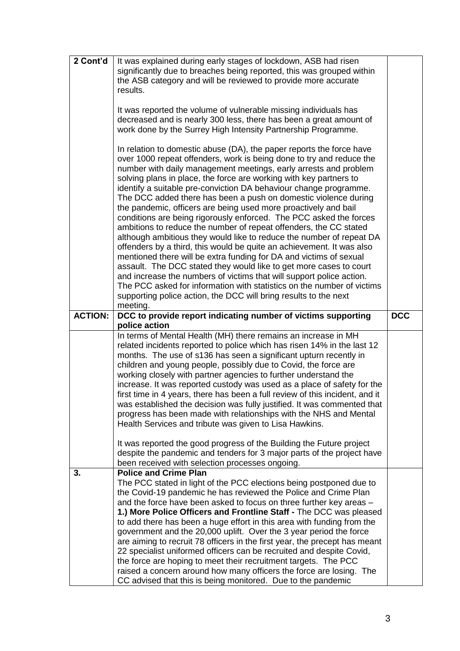| 2 Cont'd       | It was explained during early stages of lockdown, ASB had risen<br>significantly due to breaches being reported, this was grouped within<br>the ASB category and will be reviewed to provide more accurate<br>results.<br>It was reported the volume of vulnerable missing individuals has<br>decreased and is nearly 300 less, there has been a great amount of<br>work done by the Surrey High Intensity Partnership Programme.<br>In relation to domestic abuse (DA), the paper reports the force have<br>over 1000 repeat offenders, work is being done to try and reduce the<br>number with daily management meetings, early arrests and problem<br>solving plans in place, the force are working with key partners to<br>identify a suitable pre-conviction DA behaviour change programme.<br>The DCC added there has been a push on domestic violence during<br>the pandemic, officers are being used more proactively and bail<br>conditions are being rigorously enforced. The PCC asked the forces<br>ambitions to reduce the number of repeat offenders, the CC stated<br>although ambitious they would like to reduce the number of repeat DA<br>offenders by a third, this would be quite an achievement. It was also<br>mentioned there will be extra funding for DA and victims of sexual<br>assault. The DCC stated they would like to get more cases to court<br>and increase the numbers of victims that will support police action.<br>The PCC asked for information with statistics on the number of victims<br>supporting police action, the DCC will bring results to the next |            |
|----------------|------------------------------------------------------------------------------------------------------------------------------------------------------------------------------------------------------------------------------------------------------------------------------------------------------------------------------------------------------------------------------------------------------------------------------------------------------------------------------------------------------------------------------------------------------------------------------------------------------------------------------------------------------------------------------------------------------------------------------------------------------------------------------------------------------------------------------------------------------------------------------------------------------------------------------------------------------------------------------------------------------------------------------------------------------------------------------------------------------------------------------------------------------------------------------------------------------------------------------------------------------------------------------------------------------------------------------------------------------------------------------------------------------------------------------------------------------------------------------------------------------------------------------------------------------------------------------------------------------|------------|
| <b>ACTION:</b> | meeting.<br>DCC to provide report indicating number of victims supporting                                                                                                                                                                                                                                                                                                                                                                                                                                                                                                                                                                                                                                                                                                                                                                                                                                                                                                                                                                                                                                                                                                                                                                                                                                                                                                                                                                                                                                                                                                                            | <b>DCC</b> |
|                | police action<br>In terms of Mental Health (MH) there remains an increase in MH                                                                                                                                                                                                                                                                                                                                                                                                                                                                                                                                                                                                                                                                                                                                                                                                                                                                                                                                                                                                                                                                                                                                                                                                                                                                                                                                                                                                                                                                                                                      |            |
|                | related incidents reported to police which has risen 14% in the last 12<br>months. The use of s136 has seen a significant upturn recently in<br>children and young people, possibly due to Covid, the force are<br>working closely with partner agencies to further understand the<br>increase. It was reported custody was used as a place of safety for the<br>first time in 4 years, there has been a full review of this incident, and it<br>was established the decision was fully justified. It was commented that<br>progress has been made with relationships with the NHS and Mental<br>Health Services and tribute was given to Lisa Hawkins.                                                                                                                                                                                                                                                                                                                                                                                                                                                                                                                                                                                                                                                                                                                                                                                                                                                                                                                                              |            |
|                | It was reported the good progress of the Building the Future project<br>despite the pandemic and tenders for 3 major parts of the project have                                                                                                                                                                                                                                                                                                                                                                                                                                                                                                                                                                                                                                                                                                                                                                                                                                                                                                                                                                                                                                                                                                                                                                                                                                                                                                                                                                                                                                                       |            |
| 3.             | been received with selection processes ongoing.<br><b>Police and Crime Plan</b>                                                                                                                                                                                                                                                                                                                                                                                                                                                                                                                                                                                                                                                                                                                                                                                                                                                                                                                                                                                                                                                                                                                                                                                                                                                                                                                                                                                                                                                                                                                      |            |
|                | The PCC stated in light of the PCC elections being postponed due to<br>the Covid-19 pandemic he has reviewed the Police and Crime Plan<br>and the force have been asked to focus on three further key areas -<br>1.) More Police Officers and Frontline Staff - The DCC was pleased<br>to add there has been a huge effort in this area with funding from the<br>government and the 20,000 uplift. Over the 3 year period the force<br>are aiming to recruit 78 officers in the first year, the precept has meant<br>22 specialist uniformed officers can be recruited and despite Covid,<br>the force are hoping to meet their recruitment targets. The PCC<br>raised a concern around how many officers the force are losing. The<br>CC advised that this is being monitored. Due to the pandemic                                                                                                                                                                                                                                                                                                                                                                                                                                                                                                                                                                                                                                                                                                                                                                                                  |            |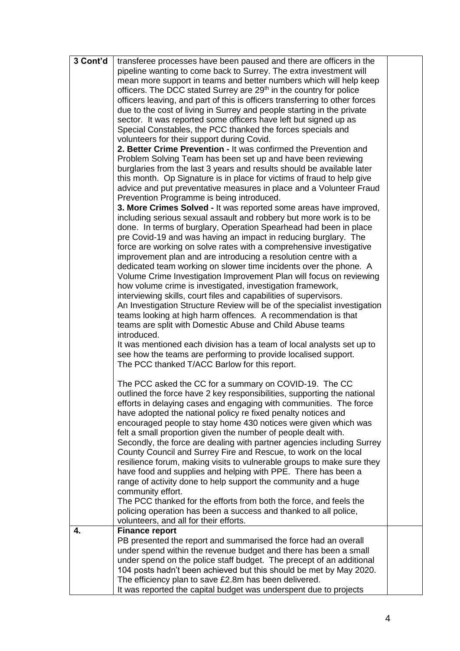| 3 Cont'd | transferee processes have been paused and there are officers in the            |  |
|----------|--------------------------------------------------------------------------------|--|
|          | pipeline wanting to come back to Surrey. The extra investment will             |  |
|          | mean more support in teams and better numbers which will help keep             |  |
|          | officers. The DCC stated Surrey are 29 <sup>th</sup> in the country for police |  |
|          | officers leaving, and part of this is officers transferring to other forces    |  |
|          | due to the cost of living in Surrey and people starting in the private         |  |
|          | sector. It was reported some officers have left but signed up as               |  |
|          | Special Constables, the PCC thanked the forces specials and                    |  |
|          | volunteers for their support during Covid.                                     |  |
|          | 2. Better Crime Prevention - It was confirmed the Prevention and               |  |
|          |                                                                                |  |
|          | Problem Solving Team has been set up and have been reviewing                   |  |
|          | burglaries from the last 3 years and results should be available later         |  |
|          | this month. Op Signature is in place for victims of fraud to help give         |  |
|          | advice and put preventative measures in place and a Volunteer Fraud            |  |
|          | Prevention Programme is being introduced.                                      |  |
|          | 3. More Crimes Solved - It was reported some areas have improved,              |  |
|          | including serious sexual assault and robbery but more work is to be            |  |
|          | done. In terms of burglary, Operation Spearhead had been in place              |  |
|          | pre Covid-19 and was having an impact in reducing burglary. The                |  |
|          | force are working on solve rates with a comprehensive investigative            |  |
|          | improvement plan and are introducing a resolution centre with a                |  |
|          | dedicated team working on slower time incidents over the phone. A              |  |
|          | Volume Crime Investigation Improvement Plan will focus on reviewing            |  |
|          | how volume crime is investigated, investigation framework,                     |  |
|          | interviewing skills, court files and capabilities of supervisors.              |  |
|          | An Investigation Structure Review will be of the specialist investigation      |  |
|          | teams looking at high harm offences. A recommendation is that                  |  |
|          | teams are split with Domestic Abuse and Child Abuse teams                      |  |
|          | introduced.                                                                    |  |
|          | It was mentioned each division has a team of local analysts set up to          |  |
|          | see how the teams are performing to provide localised support.                 |  |
|          | The PCC thanked T/ACC Barlow for this report.                                  |  |
|          |                                                                                |  |
|          | The PCC asked the CC for a summary on COVID-19. The CC                         |  |
|          |                                                                                |  |
|          | outlined the force have 2 key responsibilities, supporting the national        |  |
|          | efforts in delaying cases and engaging with communities. The force             |  |
|          | have adopted the national policy re fixed penalty notices and                  |  |
|          | encouraged people to stay home 430 notices were given which was                |  |
|          | felt a small proportion given the number of people dealt with.                 |  |
|          | Secondly, the force are dealing with partner agencies including Surrey         |  |
|          | County Council and Surrey Fire and Rescue, to work on the local                |  |
|          | resilience forum, making visits to vulnerable groups to make sure they         |  |
|          | have food and supplies and helping with PPE. There has been a                  |  |
|          | range of activity done to help support the community and a huge                |  |
|          | community effort.                                                              |  |
|          | The PCC thanked for the efforts from both the force, and feels the             |  |
|          | policing operation has been a success and thanked to all police,               |  |
|          | volunteers, and all for their efforts.                                         |  |
| 4.       | Finance report                                                                 |  |
|          | PB presented the report and summarised the force had an overall                |  |
|          | under spend within the revenue budget and there has been a small               |  |
|          | under spend on the police staff budget. The precept of an additional           |  |
|          | 104 posts hadn't been achieved but this should be met by May 2020.             |  |
|          | The efficiency plan to save £2.8m has been delivered.                          |  |
|          | It was reported the capital budget was underspent due to projects              |  |
|          |                                                                                |  |